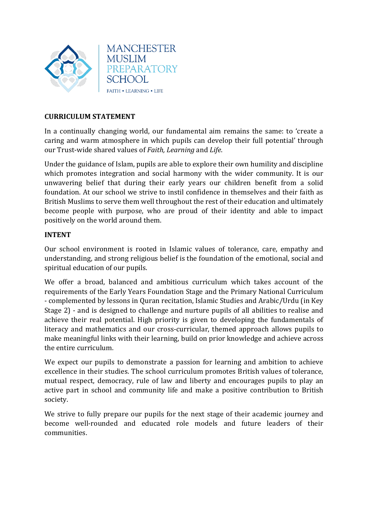

## **CURRICULUM STATEMENT**

In a continually changing world, our fundamental aim remains the same: to 'create a caring and warm atmosphere in which pupils can develop their full potential' through our Trust-wide shared values of *Faith, Learning* and *Life*.

Under the guidance of Islam, pupils are able to explore their own humility and discipline which promotes integration and social harmony with the wider community. It is our unwavering belief that during their early years our children benefit from a solid foundation. At our school we strive to instil confidence in themselves and their faith as British Muslims to serve them well throughout the rest of their education and ultimately become people with purpose, who are proud of their identity and able to impact positively on the world around them.

## **INTENT**

Our school environment is rooted in Islamic values of tolerance, care, empathy and understanding, and strong religious belief is the foundation of the emotional, social and spiritual education of our pupils.

We offer a broad, balanced and ambitious curriculum which takes account of the requirements of the Early Years Foundation Stage and the Primary National Curriculum - complemented by lessons in Quran recitation, Islamic Studies and Arabic/Urdu (in Key Stage 2) - and is designed to challenge and nurture pupils of all abilities to realise and achieve their real potential. High priority is given to developing the fundamentals of literacy and mathematics and our cross-curricular, themed approach allows pupils to make meaningful links with their learning, build on prior knowledge and achieve across the entire curriculum.

We expect our pupils to demonstrate a passion for learning and ambition to achieve excellence in their studies. The school curriculum promotes British values of tolerance, mutual respect, democracy, rule of law and liberty and encourages pupils to play an active part in school and community life and make a positive contribution to British society.

We strive to fully prepare our pupils for the next stage of their academic journey and become well-rounded and educated role models and future leaders of their communities.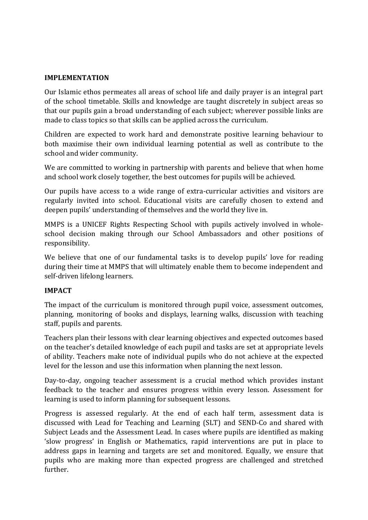## **IMPLEMENTATION**

Our Islamic ethos permeates all areas of school life and daily prayer is an integral part of the school timetable. Skills and knowledge are taught discretely in subject areas so that our pupils gain a broad understanding of each subject; wherever possible links are made to class topics so that skills can be applied across the curriculum.

Children are expected to work hard and demonstrate positive learning behaviour to both maximise their own individual learning potential as well as contribute to the school and wider community.

We are committed to working in partnership with parents and believe that when home and school work closely together, the best outcomes for pupils will be achieved.

Our pupils have access to a wide range of extra-curricular activities and visitors are regularly invited into school. Educational visits are carefully chosen to extend and deepen pupils' understanding of themselves and the world they live in.

MMPS is a UNICEF Rights Respecting School with pupils actively involved in wholeschool decision making through our School Ambassadors and other positions of responsibility.

We believe that one of our fundamental tasks is to develop pupils' love for reading during their time at MMPS that will ultimately enable them to become independent and self-driven lifelong learners.

## **IMPACT**

The impact of the curriculum is monitored through pupil voice, assessment outcomes, planning, monitoring of books and displays, learning walks, discussion with teaching staff, pupils and parents.

Teachers plan their lessons with clear learning objectives and expected outcomes based on the teacher's detailed knowledge of each pupil and tasks are set at appropriate levels of ability. Teachers make note of individual pupils who do not achieve at the expected level for the lesson and use this information when planning the next lesson.

Day-to-day, ongoing teacher assessment is a crucial method which provides instant feedback to the teacher and ensures progress within every lesson. Assessment for learning is used to inform planning for subsequent lessons.

Progress is assessed regularly. At the end of each half term, assessment data is discussed with Lead for Teaching and Learning (SLT) and SEND-Co and shared with Subject Leads and the Assessment Lead. In cases where pupils are identified as making 'slow progress' in English or Mathematics, rapid interventions are put in place to address gaps in learning and targets are set and monitored. Equally, we ensure that pupils who are making more than expected progress are challenged and stretched further.